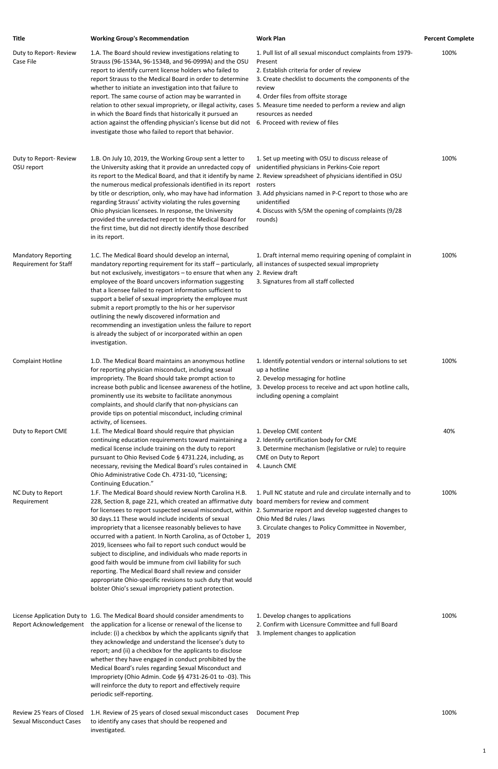| <b>Title</b>                                        | <b>Working Group's Recommendation</b>                                                                                                                                                                                                                                                                                                                                                                                                                                                                                                                                                                                                                                                                            | <b>Work Plan</b>                                                                                                                                                                                                                                      | <b>Percent Complete</b> |
|-----------------------------------------------------|------------------------------------------------------------------------------------------------------------------------------------------------------------------------------------------------------------------------------------------------------------------------------------------------------------------------------------------------------------------------------------------------------------------------------------------------------------------------------------------------------------------------------------------------------------------------------------------------------------------------------------------------------------------------------------------------------------------|-------------------------------------------------------------------------------------------------------------------------------------------------------------------------------------------------------------------------------------------------------|-------------------------|
| Duty to Report-Review<br>Case File                  | 1.A. The Board should review investigations relating to<br>Strauss (96-1534A, 96-1534B, and 96-0999A) and the OSU<br>report to identify current license holders who failed to<br>report Strauss to the Medical Board in order to determine<br>whether to initiate an investigation into that failure to<br>report. The same course of action may be warranted in<br>relation to other sexual impropriety, or illegal activity, cases 5. Measure time needed to perform a review and align<br>in which the Board finds that historically it pursued an<br>action against the offending physician's license but did not 6. Proceed with review of files<br>investigate those who failed to report that behavior.   | 1. Pull list of all sexual misconduct complaints from 1979-<br>Present<br>2. Establish criteria for order of review<br>3. Create checklist to documents the components of the<br>review<br>4. Order files from offsite storage<br>resources as needed | 100%                    |
| Duty to Report-Review<br>OSU report                 | 1.B. On July 10, 2019, the Working Group sent a letter to<br>the University asking that it provide an unredacted copy of<br>its report to the Medical Board, and that it identify by name 2. Review spreadsheet of physicians identified in OSU<br>the numerous medical professionals identified in its report rosters<br>by title or description, only, who may have had information 3. Add physicians named in P-C report to those who are<br>regarding Strauss' activity violating the rules governing<br>Ohio physician licensees. In response, the University<br>provided the unredacted report to the Medical Board for<br>the first time, but did not directly identify those described<br>in its report. | 1. Set up meeting with OSU to discuss release of<br>unidentified physicians in Perkins-Coie report<br>unidentified<br>4. Discuss with S/SM the opening of complaints (9/28<br>rounds)                                                                 | 100%                    |
| <b>Mandatory Reporting</b><br>Requirement for Staff | 1.C. The Medical Board should develop an internal,<br>mandatory reporting requirement for its staff - particularly, all instances of suspected sexual impropriety<br>but not exclusively, investigators - to ensure that when any 2. Review draft<br>employee of the Board uncovers information suggesting<br>that a licensee failed to report information sufficient to<br>support a belief of sexual impropriety the employee must<br>submit a report promptly to the his or her supervisor<br>outlining the newly discovered information and<br>recommending an investigation unless the failure to report<br>is already the subject of or incorporated within an open<br>investigation.                      | 1. Draft internal memo requiring opening of complaint in<br>3. Signatures from all staff collected                                                                                                                                                    | 100%                    |
| <b>Complaint Hotline</b>                            | 1.D. The Medical Board maintains an anonymous hotline<br>for reporting physician misconduct, including sexual<br>impropriety. The Board should take prompt action to<br>increase both public and licensee awareness of the hotline,<br>prominently use its website to facilitate anonymous<br>complaints, and should clarify that non-physicians can<br>provide tips on potential misconduct, including criminal<br>activity, of licensees.                                                                                                                                                                                                                                                                      | 1. Identify potential vendors or internal solutions to set<br>up a hotline<br>2. Develop messaging for hotline<br>3. Develop process to receive and act upon hotline calls,<br>including opening a complaint                                          | 100%                    |
| Duty to Report CME                                  | 1.E. The Medical Board should require that physician<br>continuing education requirements toward maintaining a<br>medical license include training on the duty to report<br>pursuant to Ohio Revised Code § 4731.224, including, as<br>necessary, revising the Medical Board's rules contained in<br>Ohio Administrative Code Ch. 4731-10, "Licensing;<br>Continuing Education."                                                                                                                                                                                                                                                                                                                                 | 1. Develop CME content<br>2. Identify certification body for CME<br>3. Determine mechanism (legislative or rule) to require<br>CME on Duty to Report<br>4. Launch CME                                                                                 | 40%                     |
| NC Duty to Report<br>Requirement                    | 1.F. The Medical Board should review North Carolina H.B.<br>228, Section 8, page 221, which created an affirmative duty<br>for licensees to report suspected sexual misconduct, within 2. Summarize report and develop suggested changes to<br>30 days.11 These would include incidents of sexual<br>impropriety that a licensee reasonably believes to have<br>occurred with a patient. In North Carolina, as of October 1,<br>2019, licensees who fail to report such conduct would be<br>subject to discipline, and individuals who made reports in<br>good faith would be immune from civil liability for such                                                                                               | 1. Pull NC statute and rule and circulate internally and to<br>board members for review and comment<br>Ohio Med Bd rules / laws<br>3. Circulate changes to Policy Committee in November,<br>2019                                                      | 100%                    |

Review 25 Years of Closed Sexual Misconduct Cases 1.H. Review of 25 years of closed sexual misconduct cases to identify any cases that should be reopened and investigated. Document Prep 100%

reporting. The Medical Board shall review and consider appropriate Ohio-specific revisions to such duty that would bolster Ohio's sexual impropriety patient protection.

License Application Duty to 1.G. The Medical Board should consider amendments to Report Acknowledgement the application for a license or renewal of the license to include: (i) a checkbox by which the applicants signify that they acknowledge and understand the licensee's duty to report; and (ii) a checkbox for the applicants to disclose whether they have engaged in conduct prohibited by the Medical Board's rules regarding Sexual Misconduct and Impropriety (Ohio Admin. Code §§ 4731-26-01 to -03). This will reinforce the duty to report and effectively require periodic self-reporting.

- 1. Develop changes to applications 2. Confirm with Licensure Committee and full Board
- 3. Implement changes to application

100%

1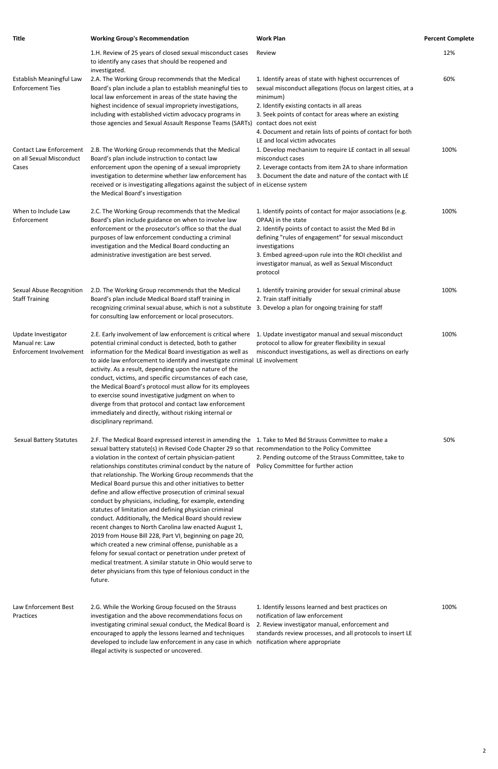| <b>Title</b>                                                        | <b>Working Group's Recommendation</b>                                                                                                                                                                                                                                                                                                                                                                                                                                                                                                                                                                                                                                                                                                                                                                                                                                                                                                                                                                                     | <b>Work Plan</b>                                                                                                                                                                                                                                                                                                                                                   | <b>Percent Complete</b> |
|---------------------------------------------------------------------|---------------------------------------------------------------------------------------------------------------------------------------------------------------------------------------------------------------------------------------------------------------------------------------------------------------------------------------------------------------------------------------------------------------------------------------------------------------------------------------------------------------------------------------------------------------------------------------------------------------------------------------------------------------------------------------------------------------------------------------------------------------------------------------------------------------------------------------------------------------------------------------------------------------------------------------------------------------------------------------------------------------------------|--------------------------------------------------------------------------------------------------------------------------------------------------------------------------------------------------------------------------------------------------------------------------------------------------------------------------------------------------------------------|-------------------------|
|                                                                     | 1.H. Review of 25 years of closed sexual misconduct cases<br>to identify any cases that should be reopened and<br>investigated.                                                                                                                                                                                                                                                                                                                                                                                                                                                                                                                                                                                                                                                                                                                                                                                                                                                                                           | Review                                                                                                                                                                                                                                                                                                                                                             | 12%                     |
| Establish Meaningful Law<br><b>Enforcement Ties</b>                 | 2.A. The Working Group recommends that the Medical<br>Board's plan include a plan to establish meaningful ties to<br>local law enforcement in areas of the state having the<br>highest incidence of sexual impropriety investigations,<br>including with established victim advocacy programs in<br>those agencies and Sexual Assault Response Teams (SARTs)                                                                                                                                                                                                                                                                                                                                                                                                                                                                                                                                                                                                                                                              | 1. Identify areas of state with highest occurrences of<br>sexual misconduct allegations (focus on largest cities, at a<br>minimum)<br>2. Identify existing contacts in all areas<br>3. Seek points of contact for areas where an existing<br>contact does not exist<br>4. Document and retain lists of points of contact for both<br>LE and local victim advocates | 60%                     |
| <b>Contact Law Enforcement</b><br>on all Sexual Misconduct<br>Cases | 2.B. The Working Group recommends that the Medical<br>Board's plan include instruction to contact law<br>enforcement upon the opening of a sexual impropriety<br>investigation to determine whether law enforcement has<br>received or is investigating allegations against the subject of in eLicense system<br>the Medical Board's investigation                                                                                                                                                                                                                                                                                                                                                                                                                                                                                                                                                                                                                                                                        | 1. Develop mechanism to require LE contact in all sexual<br>misconduct cases<br>2. Leverage contacts from item 2A to share information<br>3. Document the date and nature of the contact with LE                                                                                                                                                                   | 100%                    |
| When to Include Law<br>Enforcement                                  | 2.C. The Working Group recommends that the Medical<br>Board's plan include guidance on when to involve law<br>enforcement or the prosecutor's office so that the dual<br>purposes of law enforcement conducting a criminal<br>investigation and the Medical Board conducting an<br>administrative investigation are best served.                                                                                                                                                                                                                                                                                                                                                                                                                                                                                                                                                                                                                                                                                          | 1. Identify points of contact for major associations (e.g.<br>OPAA) in the state<br>2. Identify points of contact to assist the Med Bd in<br>defining "rules of engagement" for sexual misconduct<br>investigations<br>3. Embed agreed-upon rule into the ROI checklist and<br>investigator manual, as well as Sexual Misconduct<br>protocol                       | 100%                    |
| <b>Sexual Abuse Recognition</b><br><b>Staff Training</b>            | 2.D. The Working Group recommends that the Medical<br>Board's plan include Medical Board staff training in<br>recognizing criminal sexual abuse, which is not a substitute<br>for consulting law enforcement or local prosecutors.                                                                                                                                                                                                                                                                                                                                                                                                                                                                                                                                                                                                                                                                                                                                                                                        | 1. Identify training provider for sexual criminal abuse<br>2. Train staff initially<br>3. Develop a plan for ongoing training for staff                                                                                                                                                                                                                            | 100%                    |
| Update Investigator<br>Manual re: Law<br>Enforcement Involvement    | 2.E. Early involvement of law enforcement is critical where<br>potential criminal conduct is detected, both to gather<br>information for the Medical Board investigation as well as<br>to aide law enforcement to identify and investigate criminal LE involvement<br>activity. As a result, depending upon the nature of the<br>conduct, victims, and specific circumstances of each case,<br>the Medical Board's protocol must allow for its employees<br>to exercise sound investigative judgment on when to<br>diverge from that protocol and contact law enforcement<br>immediately and directly, without risking internal or<br>disciplinary reprimand.                                                                                                                                                                                                                                                                                                                                                             | 1. Update investigator manual and sexual misconduct<br>protocol to allow for greater flexibility in sexual<br>misconduct investigations, as well as directions on early                                                                                                                                                                                            | 100%                    |
| Sexual Battery Statutes                                             | 2.F. The Medical Board expressed interest in amending the 1. Take to Med Bd Strauss Committee to make a<br>sexual battery statute(s) in Revised Code Chapter 29 so that recommendation to the Policy Committee<br>a violation in the context of certain physician-patient<br>relationships constitutes criminal conduct by the nature of<br>that relationship. The Working Group recommends that the<br>Medical Board pursue this and other initiatives to better<br>define and allow effective prosecution of criminal sexual<br>conduct by physicians, including, for example, extending<br>statutes of limitation and defining physician criminal<br>conduct. Additionally, the Medical Board should review<br>recent changes to North Carolina law enacted August 1,<br>2019 from House Bill 228, Part VI, beginning on page 20,<br>which created a new criminal offense, punishable as a<br>felony for sexual contact or penetration under pretext of<br>medical treatment. A similar statute in Ohio would serve to | 2. Pending outcome of the Strauss Committee, take to<br>Policy Committee for further action                                                                                                                                                                                                                                                                        | 50%                     |

deter physicians from this type of felonious conduct in the future.

Law Enforcement Best Practices

2.G. While the Working Group focused on the Strauss investigation and the above recommendations focus on investigating criminal sexual conduct, the Medical Board is 2. Review investigator manual, enforcement and encouraged to apply the lessons learned and techniques developed to include law enforcement in any case in which notification where appropriate illegal activity is suspected or uncovered.

1. Identify lessons learned and best practices on notification of law enforcement standards review processes, and all protocols to insert LE 100%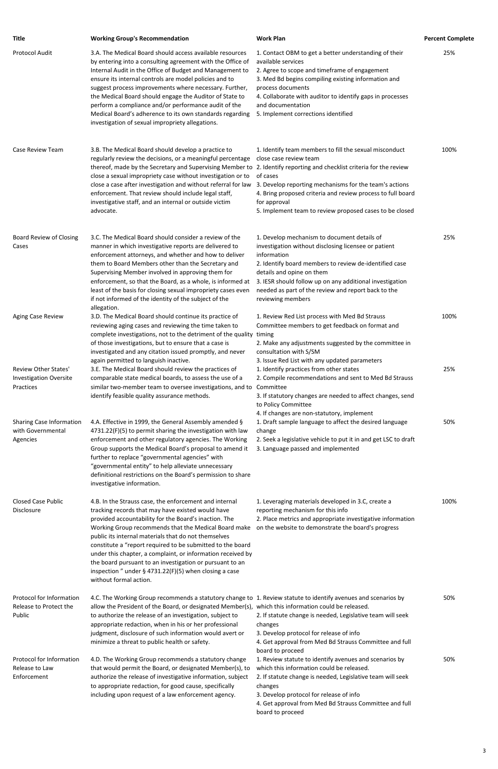| <b>Title</b>                                                              | <b>Working Group's Recommendation</b>                                                                                                                                                                                                                                                                                                                                                                                                                                                                                                     | <b>Work Plan</b>                                                                                                                                                                                                                                                                                                                                  | <b>Percent Complete</b> |
|---------------------------------------------------------------------------|-------------------------------------------------------------------------------------------------------------------------------------------------------------------------------------------------------------------------------------------------------------------------------------------------------------------------------------------------------------------------------------------------------------------------------------------------------------------------------------------------------------------------------------------|---------------------------------------------------------------------------------------------------------------------------------------------------------------------------------------------------------------------------------------------------------------------------------------------------------------------------------------------------|-------------------------|
| <b>Protocol Audit</b>                                                     | 3.A. The Medical Board should access available resources<br>by entering into a consulting agreement with the Office of<br>Internal Audit in the Office of Budget and Management to<br>ensure its internal controls are model policies and to<br>suggest process improvements where necessary. Further,<br>the Medical Board should engage the Auditor of State to<br>perform a compliance and/or performance audit of the<br>Medical Board's adherence to its own standards regarding<br>investigation of sexual impropriety allegations. | 1. Contact OBM to get a better understanding of their<br>available services<br>2. Agree to scope and timeframe of engagement<br>3. Med Bd begins compiling existing information and<br>process documents<br>4. Collaborate with auditor to identify gaps in processes<br>and documentation<br>5. Implement corrections identified                 | 25%                     |
| Case Review Team                                                          | 3.B. The Medical Board should develop a practice to<br>regularly review the decisions, or a meaningful percentage<br>thereof, made by the Secretary and Supervising Member to 2. Identify reporting and checklist criteria for the review<br>close a sexual impropriety case without investigation or to<br>close a case after investigation and without referral for law<br>enforcement. That review should include legal staff,<br>investigative staff, and an internal or outside victim<br>advocate.                                  | 1. Identify team members to fill the sexual misconduct<br>close case review team<br>of cases<br>3. Develop reporting mechanisms for the team's actions<br>4. Bring proposed criteria and review process to full board<br>for approval<br>5. Implement team to review proposed cases to be closed                                                  | 100%                    |
| Board Review of Closing<br>Cases                                          | 3.C. The Medical Board should consider a review of the<br>manner in which investigative reports are delivered to<br>enforcement attorneys, and whether and how to deliver<br>them to Board Members other than the Secretary and<br>Supervising Member involved in approving them for<br>enforcement, so that the Board, as a whole, is informed at<br>least of the basis for closing sexual impropriety cases even<br>if not informed of the identity of the subject of the<br>allegation.                                                | 1. Develop mechanism to document details of<br>investigation without disclosing licensee or patient<br>information<br>2. Identify board members to review de-identified case<br>details and opine on them<br>3. IESR should follow up on any additional investigation<br>needed as part of the review and report back to the<br>reviewing members | 25%                     |
| Aging Case Review                                                         | 3.D. The Medical Board should continue its practice of<br>reviewing aging cases and reviewing the time taken to<br>complete investigations, not to the detriment of the quality<br>of those investigations, but to ensure that a case is<br>investigated and any citation issued promptly, and never<br>again permitted to languish inactive.                                                                                                                                                                                             | 1. Review Red List process with Med Bd Strauss<br>Committee members to get feedback on format and<br>timing<br>2. Make any adjustments suggested by the committee in<br>consultation with S/SM<br>3. Issue Red List with any updated parameters                                                                                                   | 100%                    |
| <b>Review Other States'</b><br><b>Investigation Oversite</b><br>Practices | 3.E. The Medical Board should review the practices of<br>comparable state medical boards, to assess the use of a<br>similar two-member team to oversee investigations, and to<br>identify feasible quality assurance methods.                                                                                                                                                                                                                                                                                                             | 1. Identify practices from other states<br>2. Compile recommendations and sent to Med Bd Strauss<br>Committee<br>3. If statutory changes are needed to affect changes, send<br>to Policy Committee<br>4. If changes are non-statutory, implement                                                                                                  | 25%                     |
| <b>Sharing Case Information</b><br>with Governmental<br>Agencies          | 4.A. Effective in 1999, the General Assembly amended §<br>4731.22(F)(5) to permit sharing the investigation with law<br>enforcement and other regulatory agencies. The Working<br>Group supports the Medical Board's proposal to amend it<br>further to replace "governmental agencies" with<br>"governmental entity" to help alleviate unnecessary<br>definitional restrictions on the Board's permission to share<br>investigative information.                                                                                         | 1. Draft sample language to affect the desired language<br>change<br>2. Seek a legislative vehicle to put it in and get LSC to draft<br>3. Language passed and implemented                                                                                                                                                                        | 50%                     |
| <b>Closed Case Public</b><br>Disclosure                                   | 4.B. In the Strauss case, the enforcement and internal<br>tracking records that may have existed would have<br>provided accountability for the Board's inaction. The<br>Working Group recommends that the Medical Board make<br>public its internal materials that do not themselves<br>constitute a "report required to be submitted to the board<br>under this chapter, a complaint, or information received by                                                                                                                         | 1. Leveraging materials developed in 3.C, create a<br>reporting mechanism for this info<br>2. Place metrics and appropriate investigative information<br>on the website to demonstrate the board's progress                                                                                                                                       | 100%                    |

the board pursuant to an investigation or pursuant to an inspection " under § 4731.22(F)(5) when closing a case without formal action.

Protocol for Information Release to Protect the Public 4.C. The Working Group recommends a statutory change to 1. Review statute to identify avenues and scenarios by allow the President of the Board, or designated Member(s), which this information could be released. to authorize the release of an investigation, subject to appropriate redaction, when in his or her professional judgment, disclosure of such information would avert or minimize a threat to public health or safety. 2. If statute change is needed, Legislative team will seek changes 3. Develop protocol for release of info 4. Get approval from Med Bd Strauss Committee and full board to proceed 50% Protocol for Information Release to Law Enforcement 4.D. The Working Group recommends a statutory change that would permit the Board, or designated Member(s), to authorize the release of investigative information, subject to appropriate redaction, for good cause, specifically including upon request of a law enforcement agency. 1. Review statute to identify avenues and scenarios by which this information could be released. 2. If statute change is needed, Legislative team will seek changes 3. Develop protocol for release of info 4. Get approval from Med Bd Strauss Committee and full board to proceed 50%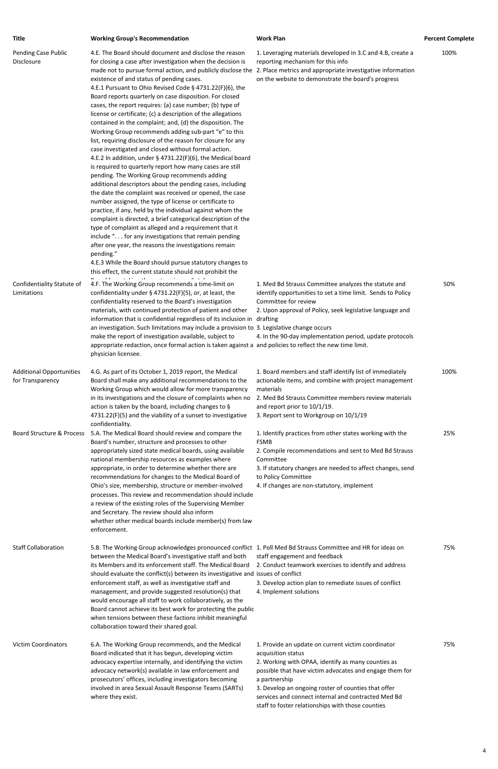| <b>Title</b>                                        | <b>Working Group's Recommendation</b>                                                                                                                                                                                                                                                                                                                                                                                                                                                                                                                                                                                                                                                                                                                                                                                                                                                                                                                                                                                                                                                                                                                                                                                                                                                                                                                                                                                                                                                                                                                                                                   | <b>Work Plan</b>                                                                                                                                                                                                                                                                 | <b>Percent Complete</b> |
|-----------------------------------------------------|---------------------------------------------------------------------------------------------------------------------------------------------------------------------------------------------------------------------------------------------------------------------------------------------------------------------------------------------------------------------------------------------------------------------------------------------------------------------------------------------------------------------------------------------------------------------------------------------------------------------------------------------------------------------------------------------------------------------------------------------------------------------------------------------------------------------------------------------------------------------------------------------------------------------------------------------------------------------------------------------------------------------------------------------------------------------------------------------------------------------------------------------------------------------------------------------------------------------------------------------------------------------------------------------------------------------------------------------------------------------------------------------------------------------------------------------------------------------------------------------------------------------------------------------------------------------------------------------------------|----------------------------------------------------------------------------------------------------------------------------------------------------------------------------------------------------------------------------------------------------------------------------------|-------------------------|
| Pending Case Public<br>Disclosure                   | 4.E. The Board should document and disclose the reason<br>for closing a case after investigation when the decision is<br>made not to pursue formal action, and publicly disclose the 2. Place metrics and appropriate investigative information<br>existence of and status of pending cases.<br>4.E.1 Pursuant to Ohio Revised Code § 4731.22(F)(6), the<br>Board reports quarterly on case disposition. For closed<br>cases, the report requires: (a) case number; (b) type of<br>license or certificate; (c) a description of the allegations<br>contained in the complaint; and, (d) the disposition. The<br>Working Group recommends adding sub-part "e" to this<br>list, requiring disclosure of the reason for closure for any<br>case investigated and closed without formal action.<br>4.E.2 In addition, under § 4731.22(F)(6), the Medical board<br>is required to quarterly report how many cases are still<br>pending. The Working Group recommends adding<br>additional descriptors about the pending cases, including<br>the date the complaint was received or opened, the case<br>number assigned, the type of license or certificate to<br>practice, if any, held by the individual against whom the<br>complaint is directed, a brief categorical description of the<br>type of complaint as alleged and a requirement that it<br>include ". for any investigations that remain pending<br>after one year, the reasons the investigations remain<br>pending."<br>4.E.3 While the Board should pursue statutory changes to<br>this effect, the current statute should not prohibit the | 1. Leveraging materials developed in 3.C and 4.B, create a<br>reporting mechanism for this info<br>on the website to demonstrate the board's progress                                                                                                                            | 100%                    |
| Confidentiality Statute of<br>Limitations           | 4.F. The Working Group recommends a time-limit on<br>confidentiality under $\S$ 4731.22(F)(5), or, at least, the<br>confidentiality reserved to the Board's investigation<br>materials, with continued protection of patient and other<br>information that is confidential regardless of its inclusion in drafting<br>an investigation. Such limitations may include a provision to 3. Legislative change occurs<br>make the report of investigation available, subject to<br>appropriate redaction, once formal action is taken against a and policies to reflect the new time limit.<br>physician licensee.                                                                                                                                                                                                                                                                                                                                                                                                                                                                                                                                                                                                                                                                                                                                                                                                                                                                                                                                                                                           | 1. Med Bd Strauss Committee analyzes the statute and<br>identify opportunities to set a time limit. Sends to Policy<br>Committee for review<br>2. Upon approval of Policy, seek legislative language and<br>4. In the 90-day implementation period, update protocols             | 50%                     |
| <b>Additional Opportunities</b><br>for Transparency | 4.G. As part of its October 1, 2019 report, the Medical<br>Board shall make any additional recommendations to the<br>Working Group which would allow for more transparency<br>in its investigations and the closure of complaints when no<br>action is taken by the board, including changes to §<br>4731.22(F)(5) and the viability of a sunset to investigative<br>confidentiality.                                                                                                                                                                                                                                                                                                                                                                                                                                                                                                                                                                                                                                                                                                                                                                                                                                                                                                                                                                                                                                                                                                                                                                                                                   | 1. Board members and staff identify list of immediately<br>actionable items, and combine with project management<br>materials<br>2. Med Bd Strauss Committee members review materials<br>and report prior to 10/1/19.<br>3. Report sent to Workgroup on 10/1/19                  | 100%                    |
| Board Structure & Process                           | 5.A. The Medical Board should review and compare the<br>Board's number, structure and processes to other<br>appropriately sized state medical boards, using available<br>national membership resources as examples where<br>appropriate, in order to determine whether there are<br>recommendations for changes to the Medical Board of<br>Ohio's size, membership, structure or member-involved<br>processes. This review and recommendation should include<br>a review of the existing roles of the Supervising Member<br>and Secretary. The review should also inform<br>whether other medical boards include member(s) from law<br>enforcement.                                                                                                                                                                                                                                                                                                                                                                                                                                                                                                                                                                                                                                                                                                                                                                                                                                                                                                                                                     | 1. Identify practices from other states working with the<br><b>FSMB</b><br>2. Compile recommendations and sent to Med Bd Strauss<br>Committee<br>3. If statutory changes are needed to affect changes, send<br>to Policy Committee<br>4. If changes are non-statutory, implement | 25%                     |
| <b>Staff Collaboration</b>                          | 5.B. The Working Group acknowledges pronounced conflict 1. Poll Med Bd Strauss Committee and HR for ideas on                                                                                                                                                                                                                                                                                                                                                                                                                                                                                                                                                                                                                                                                                                                                                                                                                                                                                                                                                                                                                                                                                                                                                                                                                                                                                                                                                                                                                                                                                            |                                                                                                                                                                                                                                                                                  | 75%                     |

between the Medical Board's investigative staff and both staff engagement and feedback

enforcement staff, as well as investigative staff and management, and provide suggested resolution(s) that would encourage all staff to work collaboratively, as the Board cannot achieve its best work for protecting the public when tensions between these factions inhibit meaningful collaboration toward their shared goal.

its Members and its enforcement staff. The Medical Board 2. Conduct teamwork exercises to identify and address should evaluate the conflict(s) between its investigative and issues of conflict

3. Develop action plan to remediate issues of conflict 4. Implement solutions

Victim Coordinators 6.A. The Working Group recommends, and the Medical Board indicated that it has begun, developing victim advocacy expertise internally, and identifying the victim advocacy network(s) available in law enforcement and prosecutors' offices, including investigators becoming involved in area Sexual Assault Response Teams (SARTs) where they exist.

1. Provide an update on current victim coordinator acquisition status

2. Working with OPAA, identify as many counties as possible that have victim advocates and engage them for a partnership

3. Develop an ongoing roster of counties that offer services and connect internal and contracted Med Bd staff to foster relationships with those counties

75%